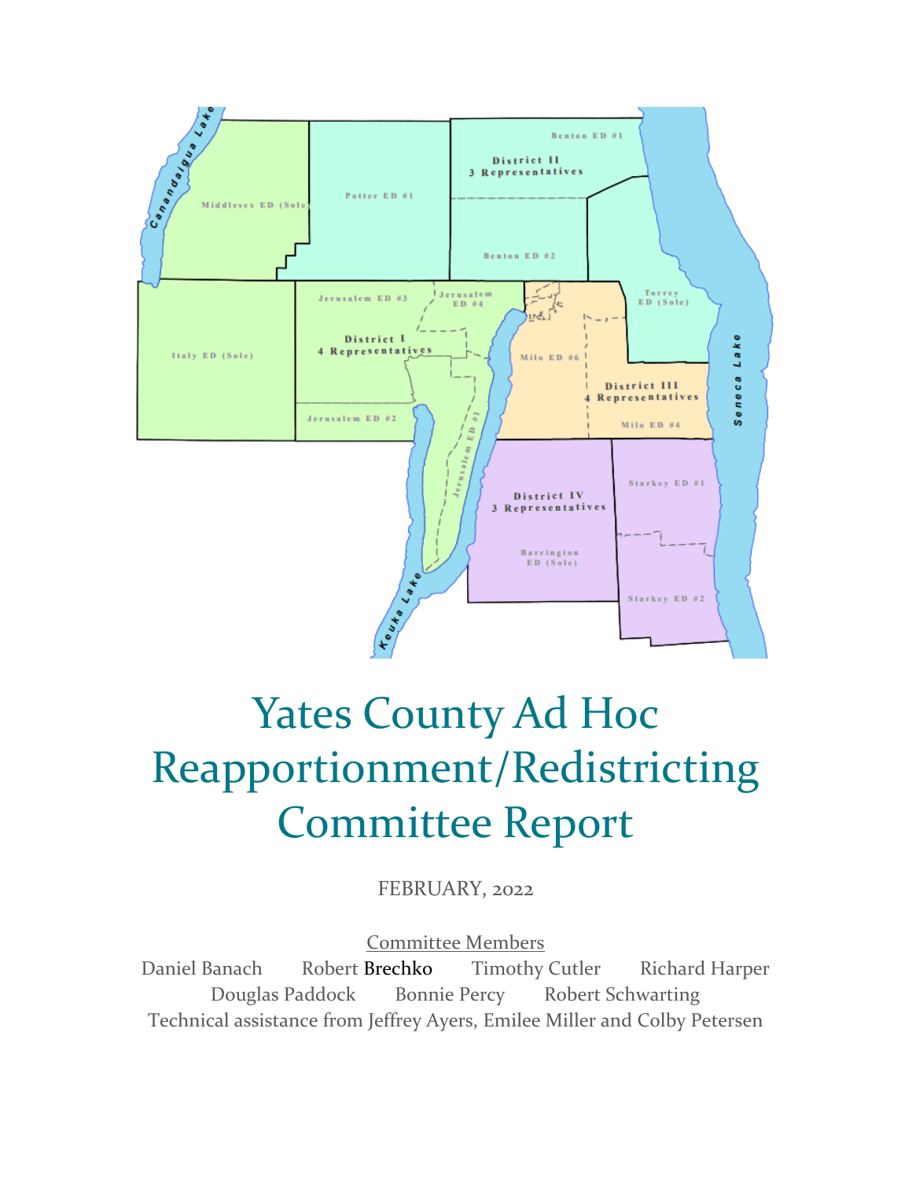

# Yates County Ad Hoc Reapportionment/Redistricting Committee Report

FEBRUARY, 2022

Committee Members

Daniel Banach Robert Brechko Timothy Cutler Richard Harper Douglas Paddock Bonnie Percy Robert Schwarting Technical assistance from Jeffrey Ayers, Emilee Miller and Colby Petersen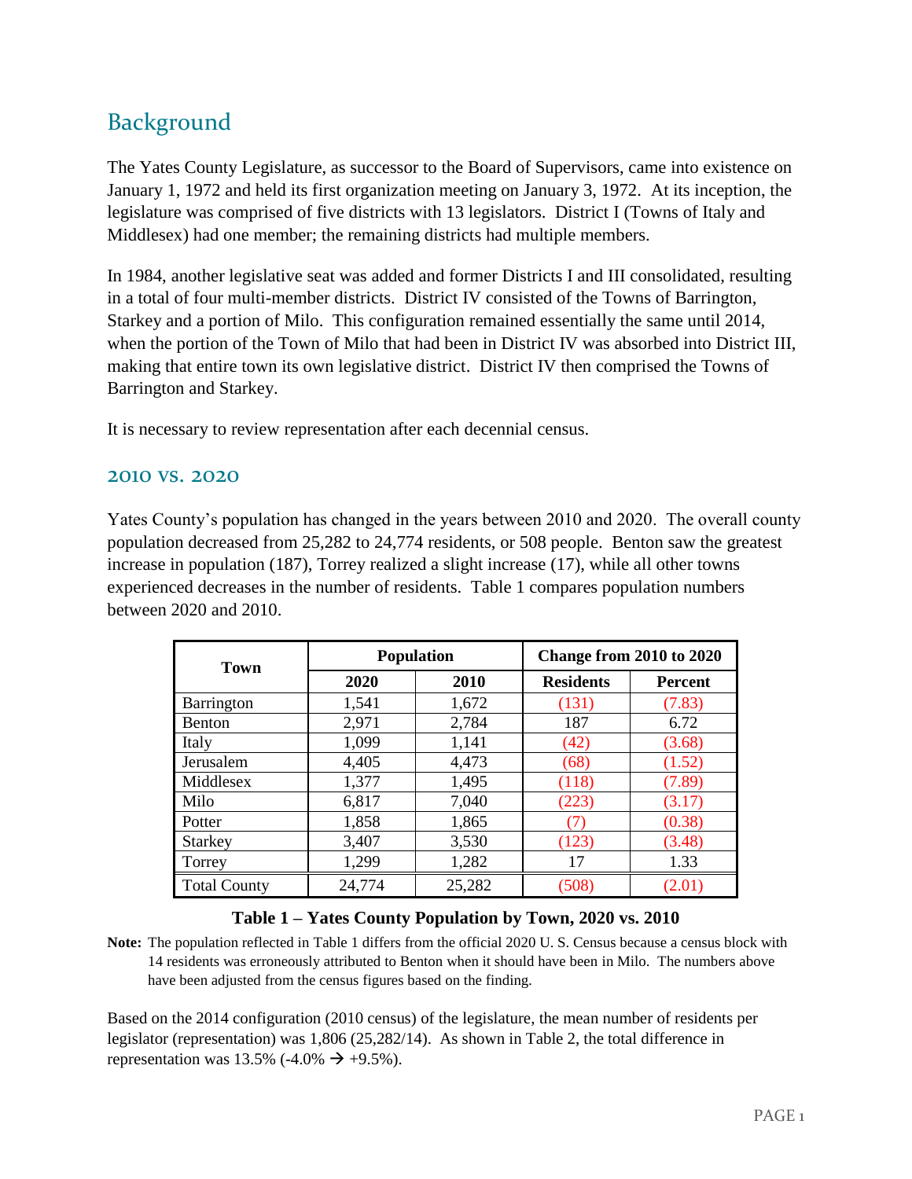## Background

The Yates County Legislature, as successor to the Board of Supervisors, came into existence on January 1, 1972 and held its first organization meeting on January 3, 1972. At its inception, the legislature was comprised of five districts with 13 legislators. District I (Towns of Italy and Middlesex) had one member; the remaining districts had multiple members.

In 1984, another legislative seat was added and former Districts I and III consolidated, resulting in a total of four multi-member districts. District IV consisted of the Towns of Barrington, Starkey and a portion of Milo. This configuration remained essentially the same until 2014, when the portion of the Town of Milo that had been in District IV was absorbed into District III, making that entire town its own legislative district. District IV then comprised the Towns of Barrington and Starkey.

It is necessary to review representation after each decennial census.

#### 2010 vs. 2020

Yates County's population has changed in the years between 2010 and 2020. The overall county population decreased from 25,282 to 24,774 residents, or 508 people. Benton saw the greatest increase in population (187), Torrey realized a slight increase (17), while all other towns experienced decreases in the number of residents. Table 1 compares population numbers between 2020 and 2010.

| <b>Town</b>         |        | <b>Population</b> | Change from 2010 to 2020 |                |  |
|---------------------|--------|-------------------|--------------------------|----------------|--|
|                     | 2020   | 2010              | <b>Residents</b>         | <b>Percent</b> |  |
| <b>Barrington</b>   | 1,541  | 1,672             | (131)                    | (7.83)         |  |
| <b>Benton</b>       | 2,971  | 2,784             | 187                      | 6.72           |  |
| Italy               | 1,099  | 1,141             | (42)                     | (3.68)         |  |
| Jerusalem           | 4,405  | 4,473             | (68)                     | (1.52)         |  |
| Middlesex           | 1,377  | 1,495             | (118)                    | (7.89)         |  |
| Milo                | 6,817  | 7,040             | (223)                    | (3.17)         |  |
| Potter              | 1,858  | 1,865             |                          | (0.38)         |  |
| <b>Starkey</b>      | 3,407  | 3,530             | (123)                    | (3.48)         |  |
| Torrey              | 1,299  | 1,282             | 17                       | 1.33           |  |
| <b>Total County</b> | 24,774 | 25,282            | (508)                    | (2.01)         |  |

### **Table 1 – Yates County Population by Town, 2020 vs. 2010**

**Note:** The population reflected in Table 1 differs from the official 2020 U. S. Census because a census block with 14 residents was erroneously attributed to Benton when it should have been in Milo. The numbers above have been adjusted from the census figures based on the finding.

Based on the 2014 configuration (2010 census) of the legislature, the mean number of residents per legislator (representation) was 1,806 (25,282/14). As shown in Table 2, the total difference in representation was 13.5% (-4.0%  $\rightarrow$  +9.5%).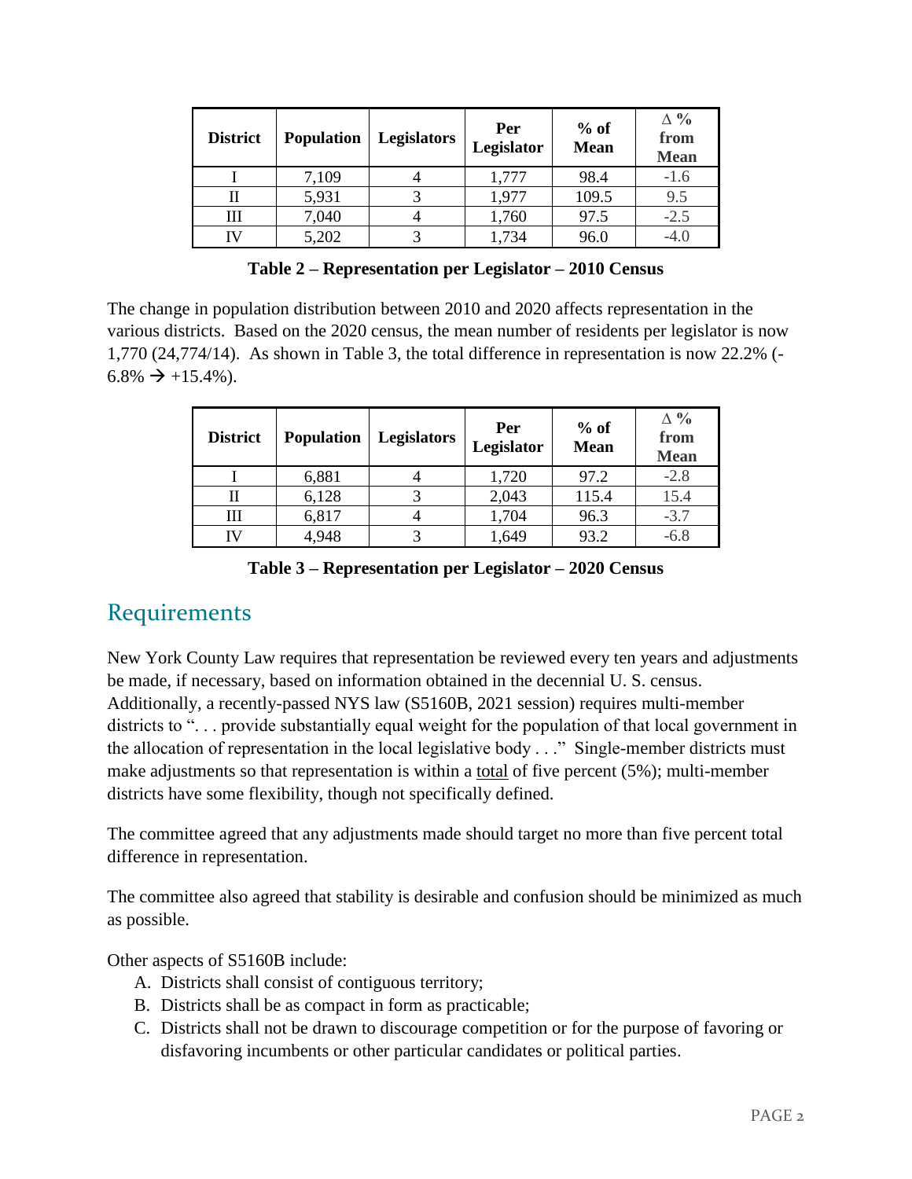| <b>District</b> | <b>Population</b> | <b>Legislators</b> | Per<br>Legislator | $%$ of<br><b>Mean</b> | $\Delta \%$<br>from<br><b>Mean</b> |
|-----------------|-------------------|--------------------|-------------------|-----------------------|------------------------------------|
|                 | 7,109             |                    | 1,777             | 98.4                  | $-1.6$                             |
|                 | 5,931             |                    | 1,977             | 109.5                 | 9.5                                |
| Ш               | 7,040             |                    | 1,760             | 97.5                  | $-2.5$                             |
| IV              | 5,202             |                    | 1,734             | 96.0                  | -4.0                               |

**Table 2 – Representation per Legislator – 2010 Census**

The change in population distribution between 2010 and 2020 affects representation in the various districts. Based on the 2020 census, the mean number of residents per legislator is now 1,770 (24,774/14). As shown in Table 3, the total difference in representation is now 22.2% (-  $6.8\% \rightarrow +15.4\%$ ).

| <b>District</b> | <b>Population</b> | <b>Legislators</b> | Per<br>Legislator | $%$ of<br><b>Mean</b> | $\Delta \%$<br>from<br><b>Mean</b> |
|-----------------|-------------------|--------------------|-------------------|-----------------------|------------------------------------|
|                 | 6,881             |                    | 1,720             | 97.2                  | $-2.8$                             |
|                 | 6,128             |                    | 2,043             | 115.4                 | 15.4                               |
| Ш               | 6,817             |                    | 1,704             | 96.3                  | $-3.7$                             |
| IV              | 4,948             |                    | 1,649             | 93.2                  | $-6.8$                             |

**Table 3 – Representation per Legislator – 2020 Census**

### **Requirements**

New York County Law requires that representation be reviewed every ten years and adjustments be made, if necessary, based on information obtained in the decennial U. S. census. Additionally, a recently-passed NYS law (S5160B, 2021 session) requires multi-member districts to "... provide substantially equal weight for the population of that local government in the allocation of representation in the local legislative body . . ." Single-member districts must make adjustments so that representation is within a total of five percent (5%); multi-member districts have some flexibility, though not specifically defined.

The committee agreed that any adjustments made should target no more than five percent total difference in representation.

The committee also agreed that stability is desirable and confusion should be minimized as much as possible.

Other aspects of S5160B include:

- A. Districts shall consist of contiguous territory;
- B. Districts shall be as compact in form as practicable;
- C. Districts shall not be drawn to discourage competition or for the purpose of favoring or disfavoring incumbents or other particular candidates or political parties.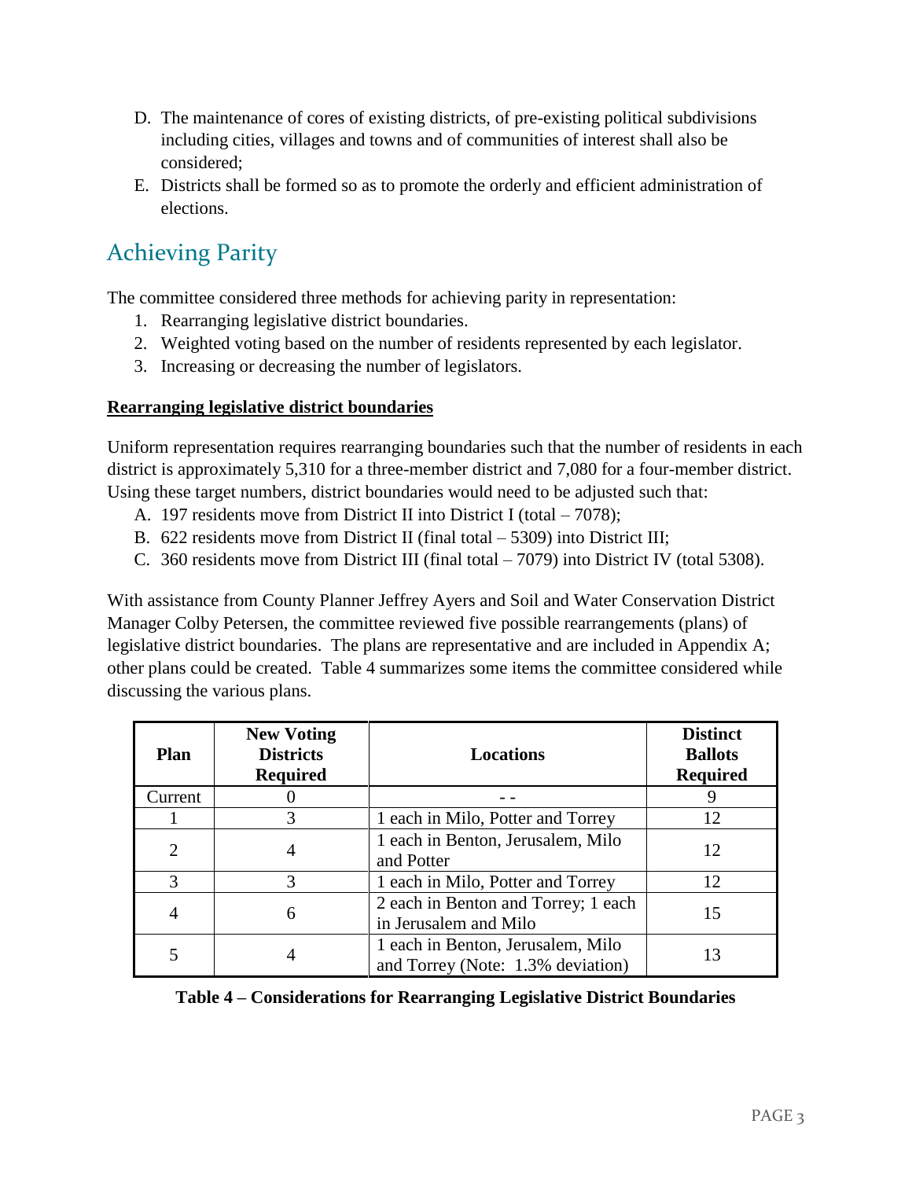- D. The maintenance of cores of existing districts, of pre-existing political subdivisions including cities, villages and towns and of communities of interest shall also be considered;
- E. Districts shall be formed so as to promote the orderly and efficient administration of elections.

## Achieving Parity

The committee considered three methods for achieving parity in representation:

- 1. Rearranging legislative district boundaries.
- 2. Weighted voting based on the number of residents represented by each legislator.
- 3. Increasing or decreasing the number of legislators.

### **Rearranging legislative district boundaries**

Uniform representation requires rearranging boundaries such that the number of residents in each district is approximately 5,310 for a three-member district and 7,080 for a four-member district. Using these target numbers, district boundaries would need to be adjusted such that:

- A. 197 residents move from District II into District I (total 7078);
- B. 622 residents move from District II (final total 5309) into District III;
- C. 360 residents move from District III (final total 7079) into District IV (total 5308).

With assistance from County Planner Jeffrey Ayers and Soil and Water Conservation District Manager Colby Petersen, the committee reviewed five possible rearrangements (plans) of legislative district boundaries. The plans are representative and are included in Appendix A; other plans could be created. Table 4 summarizes some items the committee considered while discussing the various plans.

| <b>Plan</b>    | <b>New Voting</b><br><b>Districts</b><br><b>Required</b> | Locations                                                              | <b>Distinct</b><br><b>Ballots</b><br><b>Required</b> |
|----------------|----------------------------------------------------------|------------------------------------------------------------------------|------------------------------------------------------|
| Current        |                                                          |                                                                        |                                                      |
|                | 3                                                        | 1 each in Milo, Potter and Torrey                                      | 12                                                   |
| $\overline{2}$ | 4                                                        | 1 each in Benton, Jerusalem, Milo<br>and Potter                        | 12                                                   |
| 3              | 3                                                        | 1 each in Milo, Potter and Torrey                                      | 12 <sub>1</sub>                                      |
| 4              | 6                                                        | 2 each in Benton and Torrey; 1 each<br>in Jerusalem and Milo           | 15                                                   |
|                |                                                          | 1 each in Benton, Jerusalem, Milo<br>and Torrey (Note: 1.3% deviation) |                                                      |

**Table 4 – Considerations for Rearranging Legislative District Boundaries**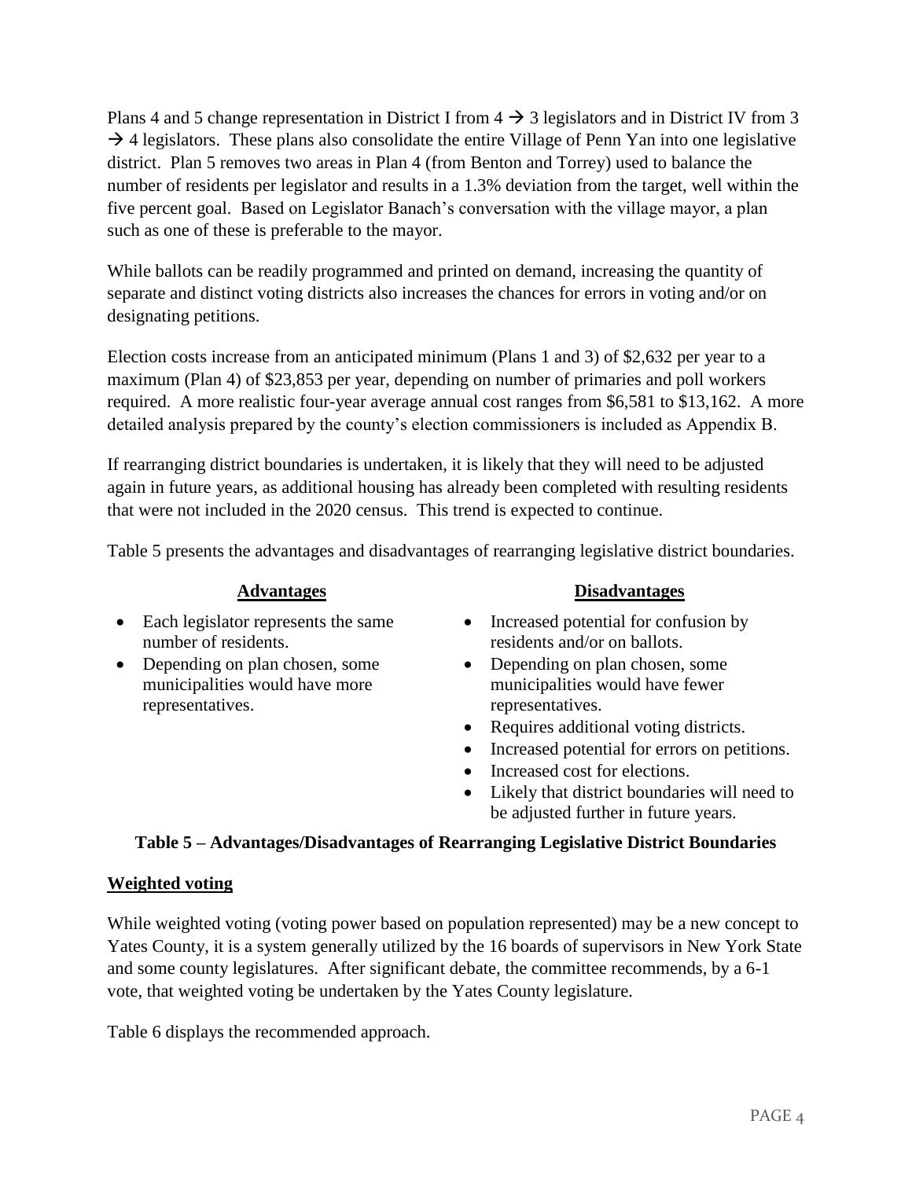Plans 4 and 5 change representation in District I from  $4 \rightarrow 3$  legislators and in District IV from 3  $\rightarrow$  4 legislators. These plans also consolidate the entire Village of Penn Yan into one legislative district. Plan 5 removes two areas in Plan 4 (from Benton and Torrey) used to balance the number of residents per legislator and results in a 1.3% deviation from the target, well within the five percent goal. Based on Legislator Banach's conversation with the village mayor, a plan such as one of these is preferable to the mayor.

While ballots can be readily programmed and printed on demand, increasing the quantity of separate and distinct voting districts also increases the chances for errors in voting and/or on designating petitions.

Election costs increase from an anticipated minimum (Plans 1 and 3) of \$2,632 per year to a maximum (Plan 4) of \$23,853 per year, depending on number of primaries and poll workers required. A more realistic four-year average annual cost ranges from \$6,581 to \$13,162. A more detailed analysis prepared by the county's election commissioners is included as Appendix B.

If rearranging district boundaries is undertaken, it is likely that they will need to be adjusted again in future years, as additional housing has already been completed with resulting residents that were not included in the 2020 census. This trend is expected to continue.

Table 5 presents the advantages and disadvantages of rearranging legislative district boundaries.

- Each legislator represents the same number of residents.
- Depending on plan chosen, some municipalities would have more representatives.

#### **Advantages Disadvantages**

- Increased potential for confusion by residents and/or on ballots.
- Depending on plan chosen, some municipalities would have fewer representatives.
- Requires additional voting districts.
- Increased potential for errors on petitions.
- Increased cost for elections.
- Likely that district boundaries will need to be adjusted further in future years.

### **Table 5 – Advantages/Disadvantages of Rearranging Legislative District Boundaries**

### **Weighted voting**

While weighted voting (voting power based on population represented) may be a new concept to Yates County, it is a system generally utilized by the 16 boards of supervisors in New York State and some county legislatures. After significant debate, the committee recommends, by a 6-1 vote, that weighted voting be undertaken by the Yates County legislature.

Table 6 displays the recommended approach.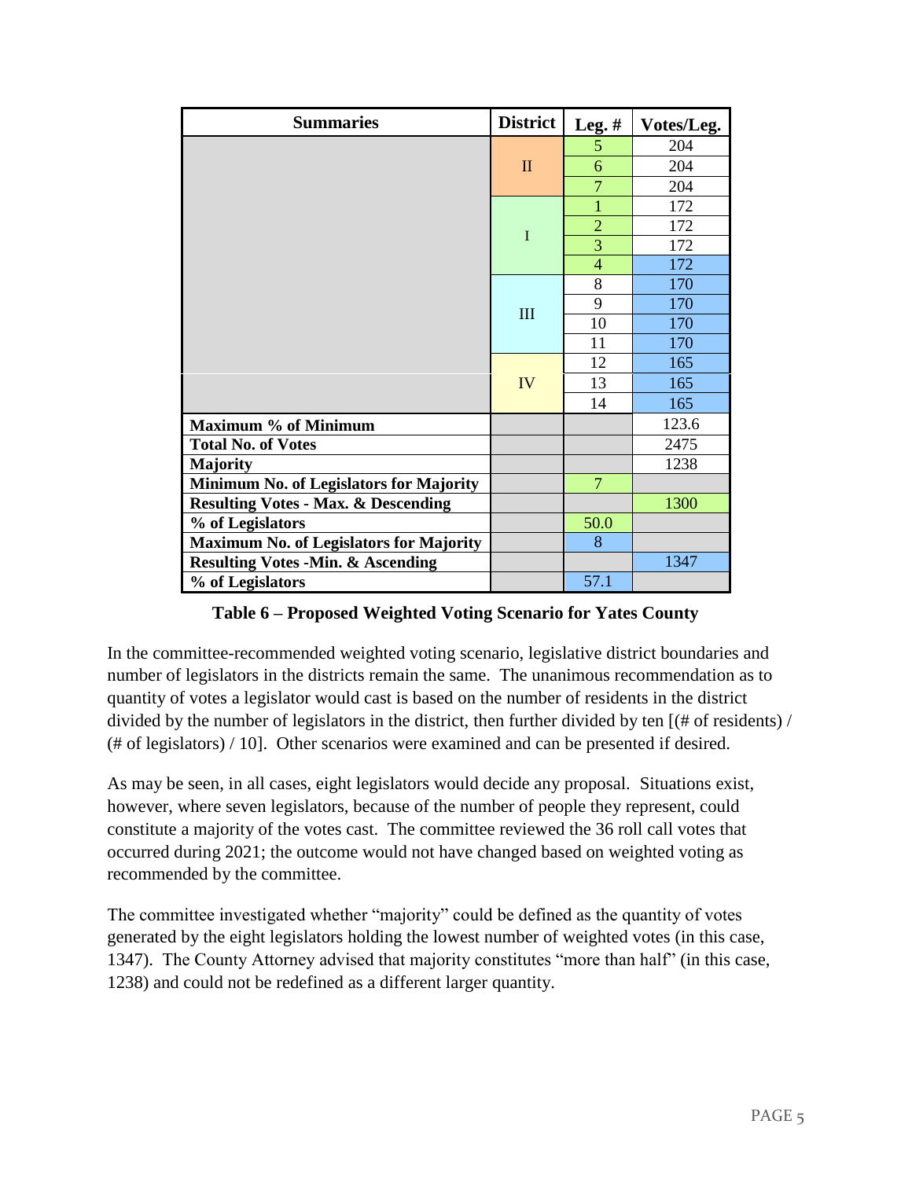| <b>Summaries</b>                               | <b>District</b> | Leg. $#$       | Votes/Leg. |
|------------------------------------------------|-----------------|----------------|------------|
|                                                |                 | 5              | 204        |
|                                                | $\mathbf{I}$    | 6              | 204        |
|                                                |                 | $\overline{7}$ | 204        |
|                                                |                 | 1              | 172        |
|                                                | $\mathbf I$     | $\overline{2}$ | 172        |
|                                                |                 | 3              | 172        |
|                                                |                 | $\overline{4}$ | 172        |
|                                                |                 | 8              | 170        |
|                                                | $\rm III$       | 9              | 170        |
|                                                |                 | 10             | 170        |
|                                                |                 | 11             | 170        |
|                                                |                 | 12             | 165        |
|                                                | <b>IV</b>       | 13             | 165        |
|                                                |                 | 14             | 165        |
| <b>Maximum % of Minimum</b>                    |                 |                | 123.6      |
| <b>Total No. of Votes</b>                      |                 |                | 2475       |
| <b>Majority</b>                                |                 |                | 1238       |
| Minimum No. of Legislators for Majority        |                 | $\overline{7}$ |            |
| <b>Resulting Votes - Max. &amp; Descending</b> |                 |                | 1300       |
| % of Legislators                               |                 | 50.0           |            |
| <b>Maximum No. of Legislators for Majority</b> |                 | 8              |            |
| <b>Resulting Votes -Min. &amp; Ascending</b>   |                 |                | 1347       |
| % of Legislators                               |                 | 57.1           |            |

**Table 6 – Proposed Weighted Voting Scenario for Yates County**

In the committee-recommended weighted voting scenario, legislative district boundaries and number of legislators in the districts remain the same. The unanimous recommendation as to quantity of votes a legislator would cast is based on the number of residents in the district divided by the number of legislators in the district, then further divided by ten [(# of residents) / (# of legislators) / 10]. Other scenarios were examined and can be presented if desired.

As may be seen, in all cases, eight legislators would decide any proposal. Situations exist, however, where seven legislators, because of the number of people they represent, could constitute a majority of the votes cast. The committee reviewed the 36 roll call votes that occurred during 2021; the outcome would not have changed based on weighted voting as recommended by the committee.

The committee investigated whether "majority" could be defined as the quantity of votes generated by the eight legislators holding the lowest number of weighted votes (in this case, 1347). The County Attorney advised that majority constitutes "more than half" (in this case, 1238) and could not be redefined as a different larger quantity.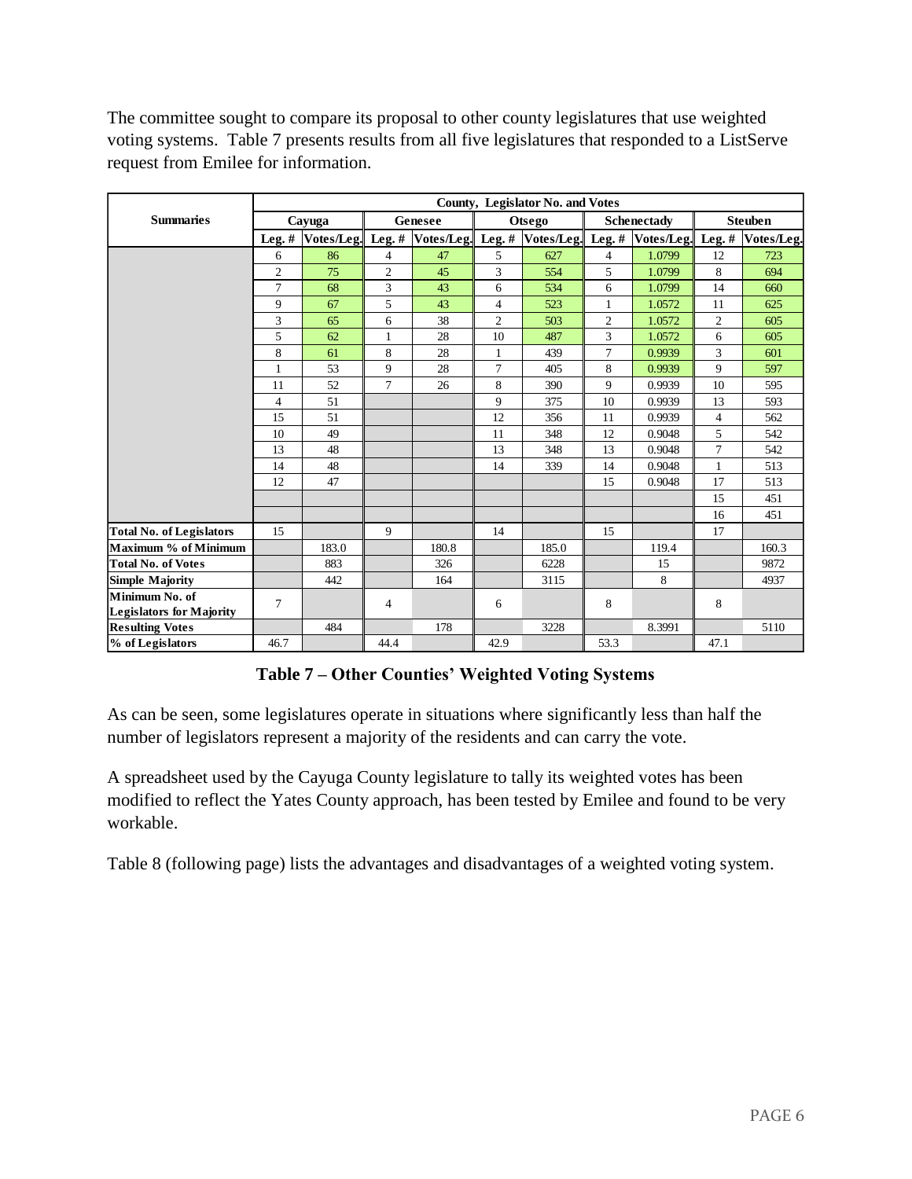The committee sought to compare its proposal to other county legislatures that use weighted voting systems. Table 7 presents results from all five legislatures that responded to a ListServe request from Emilee for information.

|                                 | County, Legislator No. and Votes |                            |                |         |                |        |                |                                                |                |                   |
|---------------------------------|----------------------------------|----------------------------|----------------|---------|----------------|--------|----------------|------------------------------------------------|----------------|-------------------|
| <b>Summaries</b>                |                                  | Cayuga                     |                | Genesee |                | Otsego |                | Schenectady                                    |                | <b>Steuben</b>    |
|                                 |                                  | Leg. # $Votes/Leg.$ Leg. # |                |         |                |        |                | Votes/Leg. Leg. # Votes/Leg. Leg. # Votes/Leg. |                | Leg. # Votes/Leg. |
|                                 | 6                                | 86                         | $\overline{4}$ | 47      | 5              | 627    | $\overline{4}$ | 1.0799                                         | 12             | 723               |
|                                 | $\mathfrak{2}$                   | 75                         | $\overline{c}$ | 45      | 3              | 554    | 5              | 1.0799                                         | 8              | 694               |
|                                 | 7                                | 68                         | 3              | 43      | 6              | 534    | 6              | 1.0799                                         | 14             | 660               |
|                                 | 9                                | 67                         | 5              | 43      | $\overline{4}$ | 523    | $\mathbf{1}$   | 1.0572                                         | 11             | 625               |
|                                 | 3                                | 65                         | 6              | 38      | $\overline{c}$ | 503    | $\overline{c}$ | 1.0572                                         | $\overline{c}$ | 605               |
|                                 | 5                                | 62                         | $\mathbf{1}$   | 28      | 10             | 487    | 3              | 1.0572                                         | 6              | 605               |
|                                 | 8                                | 61                         | 8              | 28      | 1              | 439    | $\tau$         | 0.9939                                         | 3              | 601               |
|                                 | $\mathbf{1}$                     | 53                         | 9              | 28      | $\overline{7}$ | 405    | 8              | 0.9939                                         | 9              | 597               |
|                                 | 11                               | 52                         | $\overline{7}$ | 26      | 8              | 390    | 9              | 0.9939                                         | 10             | 595               |
|                                 | $\overline{4}$                   | 51                         |                |         | 9              | 375    | 10             | 0.9939                                         | 13             | 593               |
|                                 | 15                               | 51                         |                |         | 12             | 356    | 11             | 0.9939                                         | $\overline{4}$ | 562               |
|                                 | 10                               | 49                         |                |         | 11             | 348    | 12             | 0.9048                                         | 5              | 542               |
|                                 | 13                               | 48                         |                |         | 13             | 348    | 13             | 0.9048                                         | $\overline{7}$ | 542               |
|                                 | 14                               | 48                         |                |         | 14             | 339    | 14             | 0.9048                                         | $\mathbf{1}$   | 513               |
|                                 | 12                               | 47                         |                |         |                |        | 15             | 0.9048                                         | 17             | 513               |
|                                 |                                  |                            |                |         |                |        |                |                                                | 15             | 451               |
|                                 |                                  |                            |                |         |                |        |                |                                                | 16             | 451               |
| <b>Total No. of Legislators</b> | 15                               |                            | 9              |         | 14             |        | 15             |                                                | 17             |                   |
| Maximum % of Minimum            |                                  | 183.0                      |                | 180.8   |                | 185.0  |                | 119.4                                          |                | 160.3             |
| <b>Total No. of Votes</b>       |                                  | 883                        |                | 326     |                | 6228   |                | 15                                             |                | 9872              |
| <b>Simple Majority</b>          |                                  | 442                        |                | 164     |                | 3115   |                | 8                                              |                | 4937              |
| Minimum No. of                  | 7                                |                            | 4              |         | 6              |        | 8              |                                                | 8              |                   |
| <b>Legislators for Majority</b> |                                  |                            |                |         |                |        |                |                                                |                |                   |
| <b>Resulting Votes</b>          |                                  | 484                        |                | 178     |                | 3228   |                | 8.3991                                         |                | 5110              |
| % of Legislators                | 46.7                             |                            | 44.4           |         | 42.9           |        | 53.3           |                                                | 47.1           |                   |

### **Table 7 – Other Counties' Weighted Voting Systems**

As can be seen, some legislatures operate in situations where significantly less than half the number of legislators represent a majority of the residents and can carry the vote.

A spreadsheet used by the Cayuga County legislature to tally its weighted votes has been modified to reflect the Yates County approach, has been tested by Emilee and found to be very workable.

Table 8 (following page) lists the advantages and disadvantages of a weighted voting system.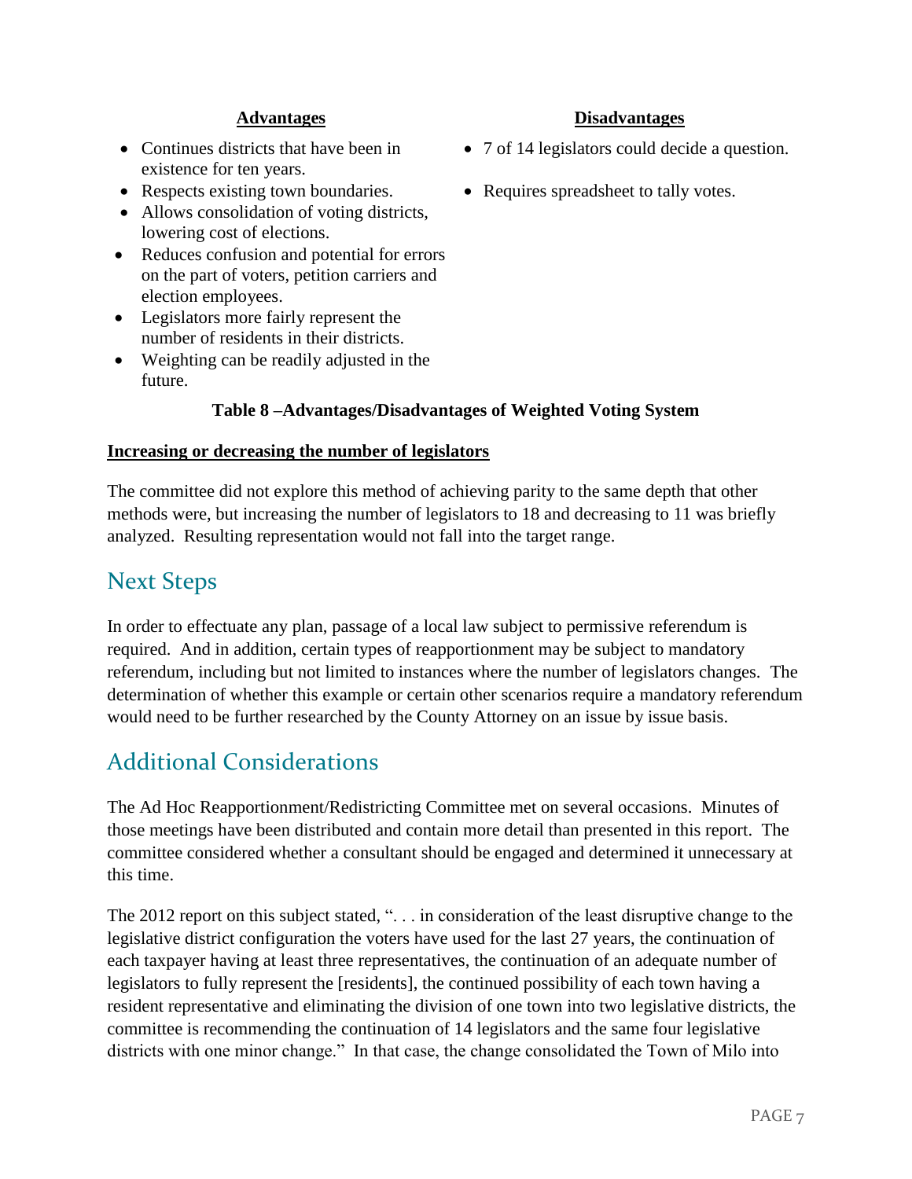- Continues districts that have been in existence for ten years.
- 
- Allows consolidation of voting districts, lowering cost of elections.
- Reduces confusion and potential for errors on the part of voters, petition carriers and election employees.
- Legislators more fairly represent the number of residents in their districts.
- Weighting can be readily adjusted in the future.

#### **Table 8 –Advantages/Disadvantages of Weighted Voting System**

#### **Increasing or decreasing the number of legislators**

The committee did not explore this method of achieving parity to the same depth that other methods were, but increasing the number of legislators to 18 and decreasing to 11 was briefly analyzed. Resulting representation would not fall into the target range.

### Next Steps

In order to effectuate any plan, passage of a local law subject to permissive referendum is required. And in addition, certain types of reapportionment may be subject to mandatory referendum, including but not limited to instances where the number of legislators changes. The determination of whether this example or certain other scenarios require a mandatory referendum would need to be further researched by the County Attorney on an issue by issue basis.

### Additional Considerations

The Ad Hoc Reapportionment/Redistricting Committee met on several occasions. Minutes of those meetings have been distributed and contain more detail than presented in this report. The committee considered whether a consultant should be engaged and determined it unnecessary at this time.

The 2012 report on this subject stated, ". . . in consideration of the least disruptive change to the legislative district configuration the voters have used for the last 27 years, the continuation of each taxpayer having at least three representatives, the continuation of an adequate number of legislators to fully represent the [residents], the continued possibility of each town having a resident representative and eliminating the division of one town into two legislative districts, the committee is recommending the continuation of 14 legislators and the same four legislative districts with one minor change." In that case, the change consolidated the Town of Milo into

- **Advantages Disadvantages**
	- 7 of 14 legislators could decide a question.
- Respects existing town boundaries. Requires spreadsheet to tally votes.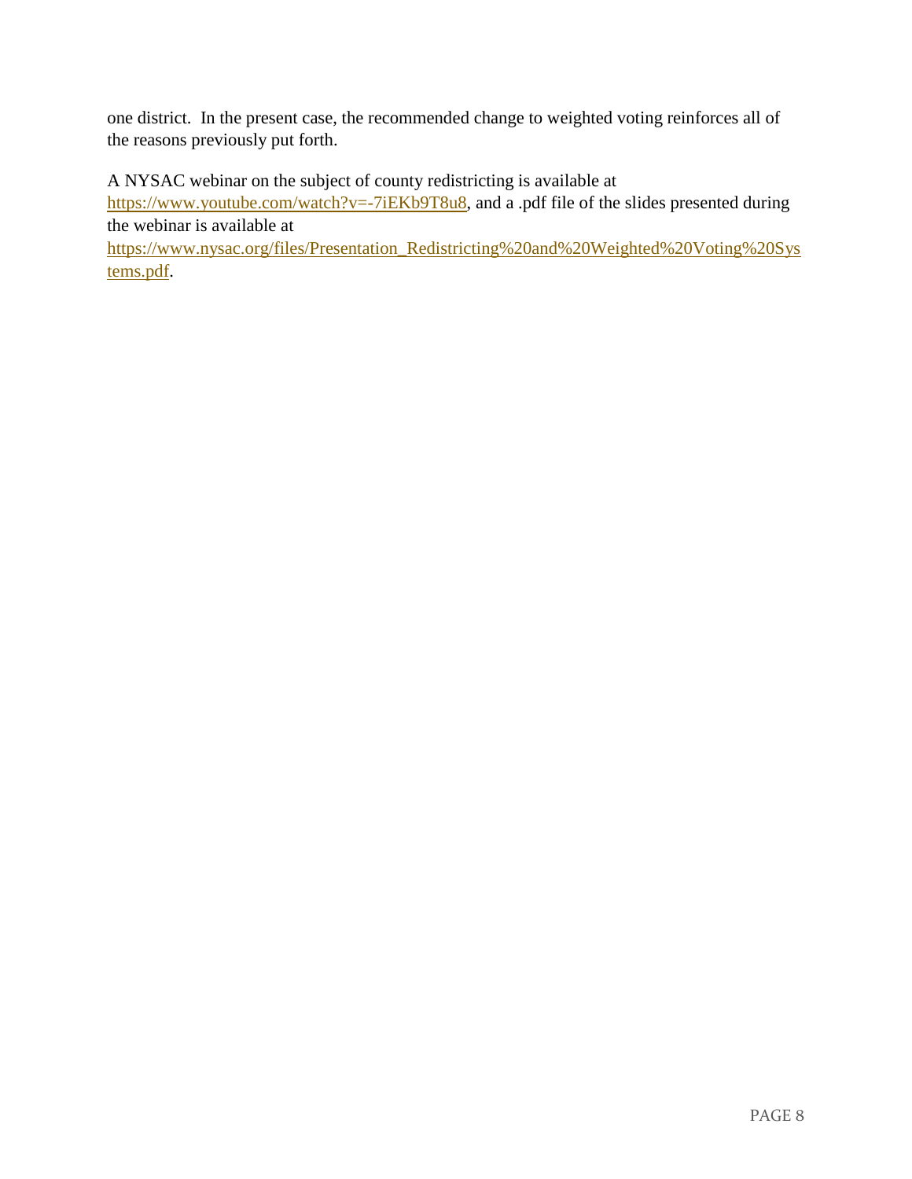one district. In the present case, the recommended change to weighted voting reinforces all of the reasons previously put forth.

A NYSAC webinar on the subject of county redistricting is available at

[https://www.youtube.com/watch?v=-7iEKb9T8u8,](https://www.youtube.com/watch?v=-7iEKb9T8u8) and a .pdf file of the slides presented during the webinar is available at

[https://www.nysac.org/files/Presentation\\_Redistricting%20and%20Weighted%20Voting%20Sys](https://www.nysac.org/files/Presentation_Redistricting%20and%20Weighted%20Voting%20Systems.pdf) [tems.pdf.](https://www.nysac.org/files/Presentation_Redistricting%20and%20Weighted%20Voting%20Systems.pdf)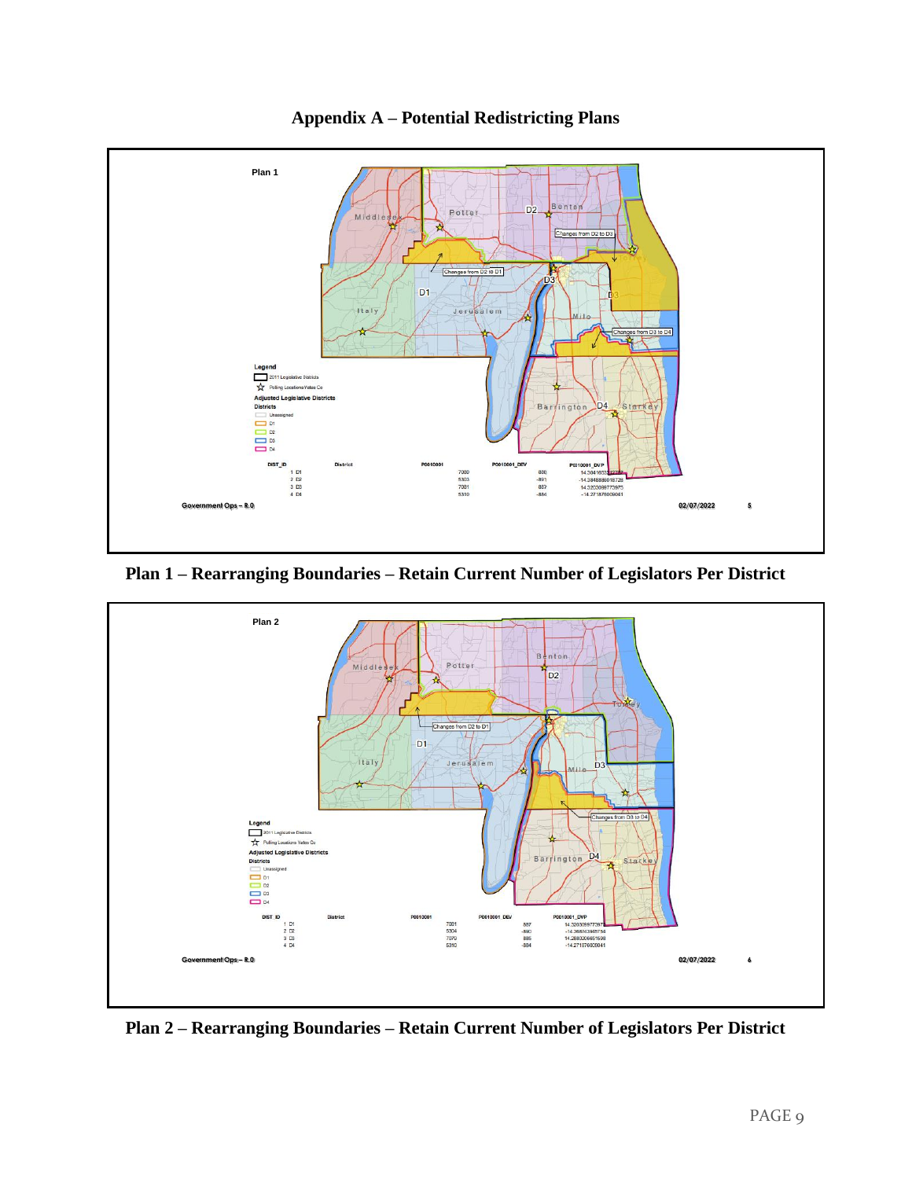

**Appendix A – Potential Redistricting Plans**

**Plan 1 – Rearranging Boundaries – Retain Current Number of Legislators Per District**



**Plan 2 – Rearranging Boundaries – Retain Current Number of Legislators Per District**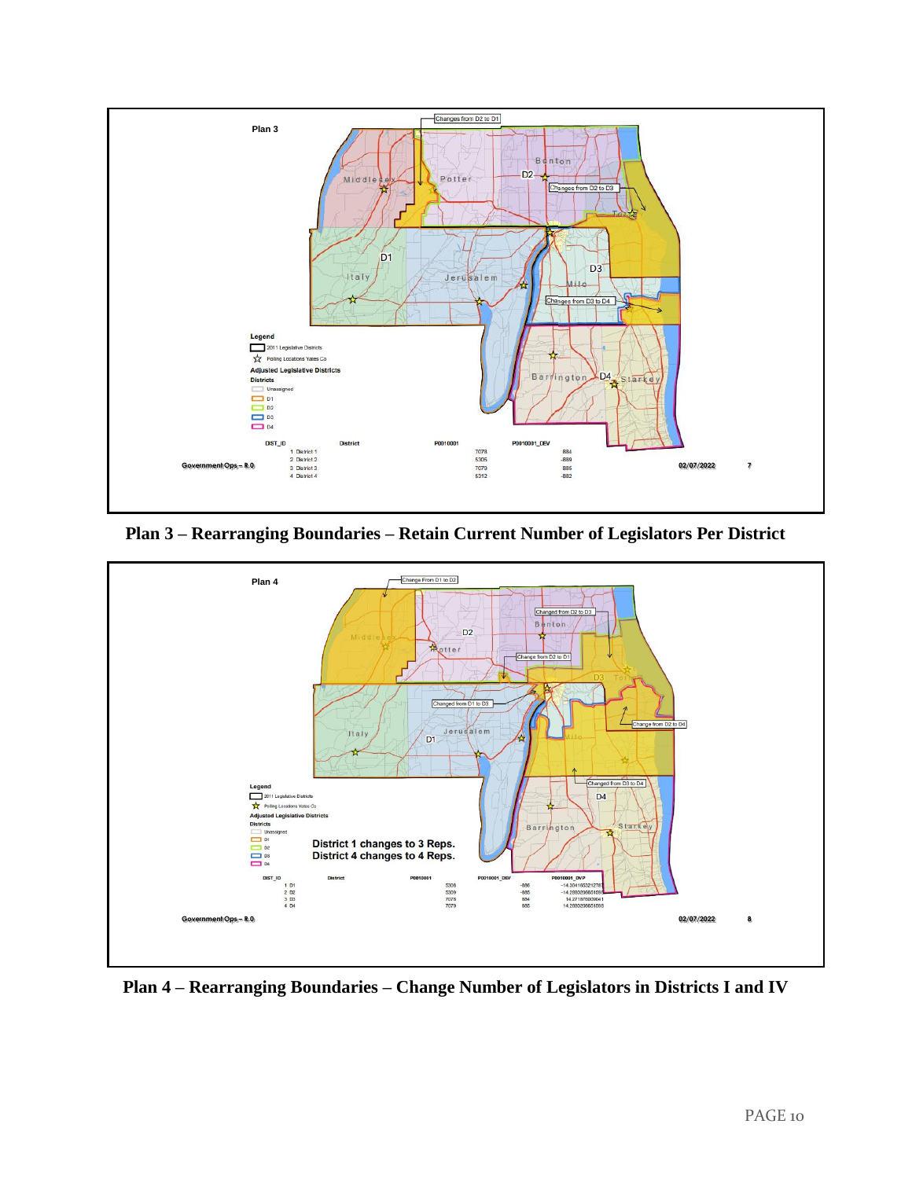

**Plan 3 – Rearranging Boundaries – Retain Current Number of Legislators Per District**



**Plan 4 – Rearranging Boundaries – Change Number of Legislators in Districts I and IV**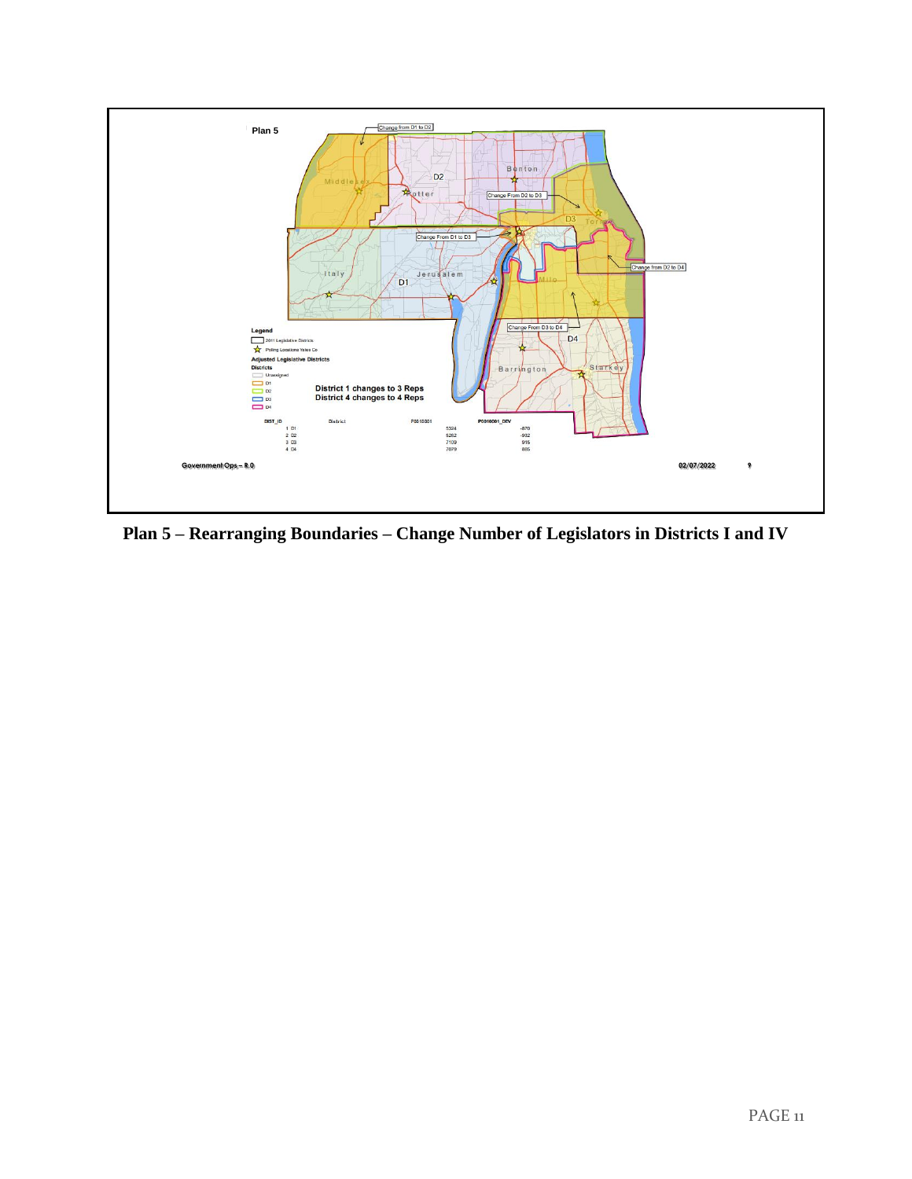

**Plan 5 – Rearranging Boundaries – Change Number of Legislators in Districts I and IV**